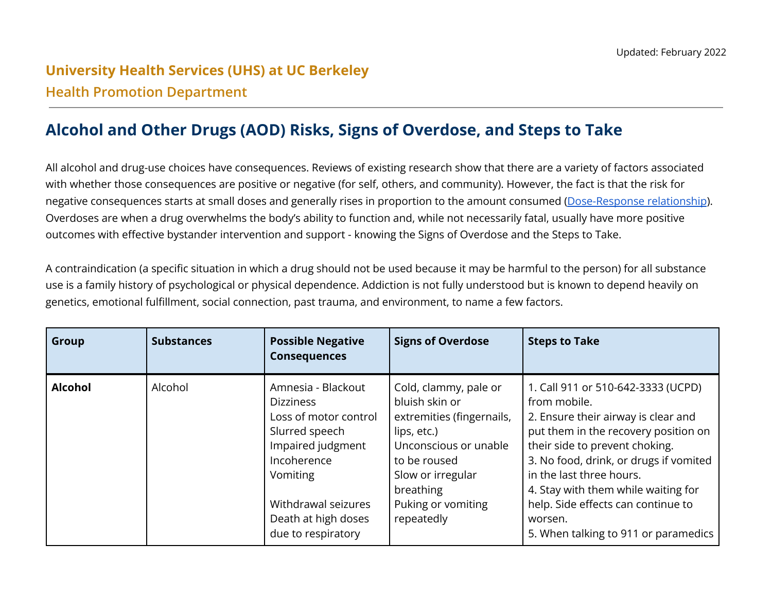## **University Health Services (UHS) at UC Berkeley Health Promotion Department**

## **Alcohol and Other Drugs (AOD) Risks, Signs of Overdose, and Steps to Take**

All alcohol and drug-use choices have consequences. Reviews of existing research show that there are a variety of factors associated with whether those consequences are positive or negative (for self, others, and community). However, the fact is that the risk for negative consequences starts at small doses and generally rises in proportion to the amount consumed [\(Dose-Response](https://youtu.be/tm2JQVBMSU0) relationship). Overdoses are when a drug overwhelms the body's ability to function and, while not necessarily fatal, usually have more positive outcomes with effective bystander intervention and support - knowing the Signs of Overdose and the Steps to Take.

A contraindication (a specific situation in which a drug should not be used because it may be harmful to the person) for all substance use is a family history of psychological or physical dependence. Addiction is not fully understood but is known to depend heavily on genetics, emotional fulfillment, social connection, past trauma, and environment, to name a few factors.

| Group          | <b>Substances</b> | <b>Possible Negative</b><br><b>Consequences</b>                                                                                                                                                       | <b>Signs of Overdose</b>                                                                                                                                                                           | <b>Steps to Take</b>                                                                                                                                                                                                                                                                                                                                                      |
|----------------|-------------------|-------------------------------------------------------------------------------------------------------------------------------------------------------------------------------------------------------|----------------------------------------------------------------------------------------------------------------------------------------------------------------------------------------------------|---------------------------------------------------------------------------------------------------------------------------------------------------------------------------------------------------------------------------------------------------------------------------------------------------------------------------------------------------------------------------|
| <b>Alcohol</b> | Alcohol           | Amnesia - Blackout<br><b>Dizziness</b><br>Loss of motor control<br>Slurred speech<br>Impaired judgment<br>Incoherence<br>Vomiting<br>Withdrawal seizures<br>Death at high doses<br>due to respiratory | Cold, clammy, pale or<br>bluish skin or<br>extremities (fingernails,<br>lips, etc.)<br>Unconscious or unable<br>to be roused<br>Slow or irregular<br>breathing<br>Puking or vomiting<br>repeatedly | 1. Call 911 or 510-642-3333 (UCPD)<br>from mobile.<br>2. Ensure their airway is clear and<br>put them in the recovery position on<br>their side to prevent choking.<br>3. No food, drink, or drugs if vomited<br>in the last three hours.<br>4. Stay with them while waiting for<br>help. Side effects can continue to<br>worsen.<br>5. When talking to 911 or paramedics |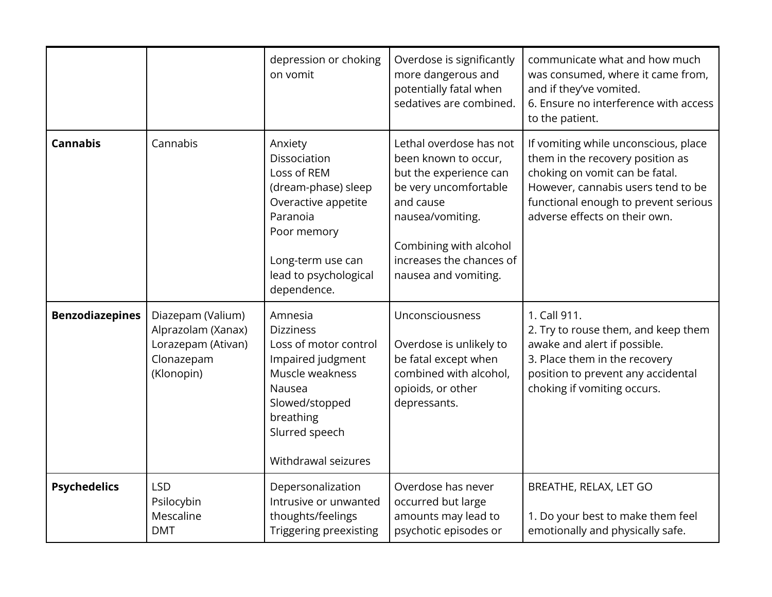|                        |                                                                                           | depression or choking<br>on vomit                                                                                                                                              | Overdose is significantly<br>more dangerous and<br>potentially fatal when<br>sedatives are combined.                                                                                                              | communicate what and how much<br>was consumed, where it came from,<br>and if they've vomited.<br>6. Ensure no interference with access<br>to the patient.                                                                 |
|------------------------|-------------------------------------------------------------------------------------------|--------------------------------------------------------------------------------------------------------------------------------------------------------------------------------|-------------------------------------------------------------------------------------------------------------------------------------------------------------------------------------------------------------------|---------------------------------------------------------------------------------------------------------------------------------------------------------------------------------------------------------------------------|
| <b>Cannabis</b>        | Cannabis                                                                                  | Anxiety<br>Dissociation<br>Loss of REM<br>(dream-phase) sleep<br>Overactive appetite<br>Paranoia<br>Poor memory<br>Long-term use can<br>lead to psychological<br>dependence.   | Lethal overdose has not<br>been known to occur,<br>but the experience can<br>be very uncomfortable<br>and cause<br>nausea/vomiting.<br>Combining with alcohol<br>increases the chances of<br>nausea and vomiting. | If vomiting while unconscious, place<br>them in the recovery position as<br>choking on vomit can be fatal.<br>However, cannabis users tend to be<br>functional enough to prevent serious<br>adverse effects on their own. |
| <b>Benzodiazepines</b> | Diazepam (Valium)<br>Alprazolam (Xanax)<br>Lorazepam (Ativan)<br>Clonazepam<br>(Klonopin) | Amnesia<br><b>Dizziness</b><br>Loss of motor control<br>Impaired judgment<br>Muscle weakness<br>Nausea<br>Slowed/stopped<br>breathing<br>Slurred speech<br>Withdrawal seizures | Unconsciousness<br>Overdose is unlikely to<br>be fatal except when<br>combined with alcohol,<br>opioids, or other<br>depressants.                                                                                 | 1. Call 911.<br>2. Try to rouse them, and keep them<br>awake and alert if possible.<br>3. Place them in the recovery<br>position to prevent any accidental<br>choking if vomiting occurs.                                 |
| <b>Psychedelics</b>    | <b>LSD</b><br>Psilocybin<br>Mescaline<br><b>DMT</b>                                       | Depersonalization<br>Intrusive or unwanted<br>thoughts/feelings<br>Triggering preexisting                                                                                      | Overdose has never<br>occurred but large<br>amounts may lead to<br>psychotic episodes or                                                                                                                          | BREATHE, RELAX, LET GO<br>1. Do your best to make them feel<br>emotionally and physically safe.                                                                                                                           |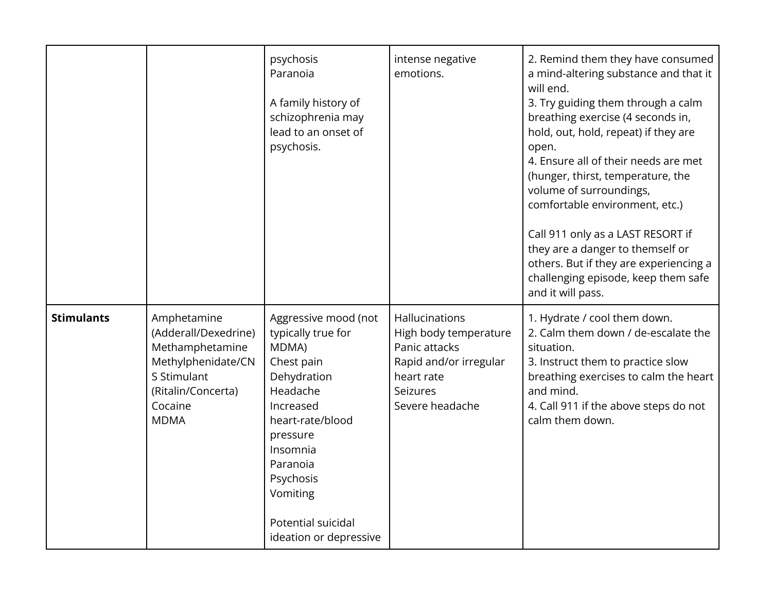|                   |                                                                                                                                             | psychosis<br>Paranoia<br>A family history of<br>schizophrenia may<br>lead to an onset of<br>psychosis.                                                                                                                                     | intense negative<br>emotions.                                                                                                   | 2. Remind them they have consumed<br>a mind-altering substance and that it<br>will end.<br>3. Try guiding them through a calm<br>breathing exercise (4 seconds in,<br>hold, out, hold, repeat) if they are<br>open.<br>4. Ensure all of their needs are met<br>(hunger, thirst, temperature, the<br>volume of surroundings,<br>comfortable environment, etc.)<br>Call 911 only as a LAST RESORT if<br>they are a danger to themself or<br>others. But if they are experiencing a<br>challenging episode, keep them safe<br>and it will pass. |
|-------------------|---------------------------------------------------------------------------------------------------------------------------------------------|--------------------------------------------------------------------------------------------------------------------------------------------------------------------------------------------------------------------------------------------|---------------------------------------------------------------------------------------------------------------------------------|----------------------------------------------------------------------------------------------------------------------------------------------------------------------------------------------------------------------------------------------------------------------------------------------------------------------------------------------------------------------------------------------------------------------------------------------------------------------------------------------------------------------------------------------|
| <b>Stimulants</b> | Amphetamine<br>(Adderall/Dexedrine)<br>Methamphetamine<br>Methylphenidate/CN<br>S Stimulant<br>(Ritalin/Concerta)<br>Cocaine<br><b>MDMA</b> | Aggressive mood (not<br>typically true for<br>MDMA)<br>Chest pain<br>Dehydration<br>Headache<br>Increased<br>heart-rate/blood<br>pressure<br>Insomnia<br>Paranoia<br>Psychosis<br>Vomiting<br>Potential suicidal<br>ideation or depressive | Hallucinations<br>High body temperature<br>Panic attacks<br>Rapid and/or irregular<br>heart rate<br>Seizures<br>Severe headache | 1. Hydrate / cool them down.<br>2. Calm them down / de-escalate the<br>situation.<br>3. Instruct them to practice slow<br>breathing exercises to calm the heart<br>and mind.<br>4. Call 911 if the above steps do not<br>calm them down.                                                                                                                                                                                                                                                                                                     |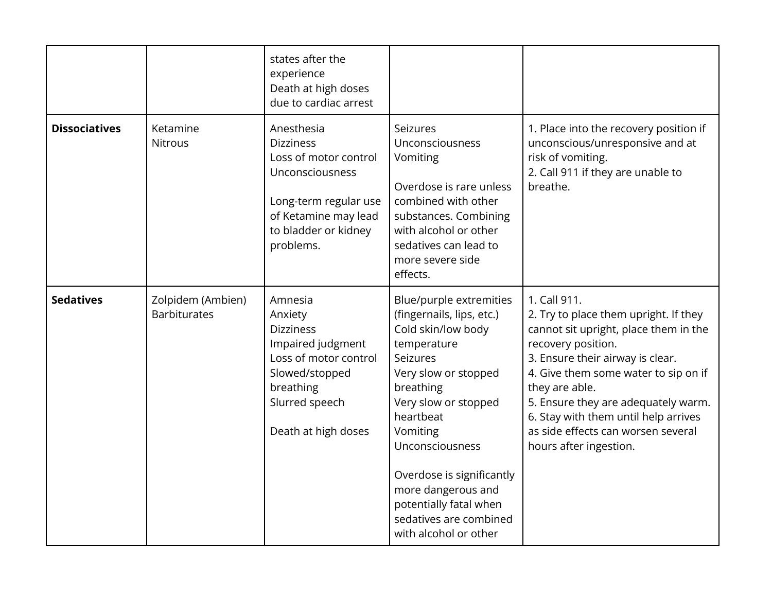|                      |                                          | states after the<br>experience<br>Death at high doses<br>due to cardiac arrest                                                                                   |                                                                                                                                                                                                                                                                                                                                                |                                                                                                                                                                                                                                                                                                                                                                   |
|----------------------|------------------------------------------|------------------------------------------------------------------------------------------------------------------------------------------------------------------|------------------------------------------------------------------------------------------------------------------------------------------------------------------------------------------------------------------------------------------------------------------------------------------------------------------------------------------------|-------------------------------------------------------------------------------------------------------------------------------------------------------------------------------------------------------------------------------------------------------------------------------------------------------------------------------------------------------------------|
| <b>Dissociatives</b> | Ketamine<br><b>Nitrous</b>               | Anesthesia<br><b>Dizziness</b><br>Loss of motor control<br>Unconsciousness<br>Long-term regular use<br>of Ketamine may lead<br>to bladder or kidney<br>problems. | Seizures<br>Unconsciousness<br>Vomiting<br>Overdose is rare unless<br>combined with other<br>substances. Combining<br>with alcohol or other<br>sedatives can lead to<br>more severe side<br>effects.                                                                                                                                           | 1. Place into the recovery position if<br>unconscious/unresponsive and at<br>risk of vomiting.<br>2. Call 911 if they are unable to<br>breathe.                                                                                                                                                                                                                   |
| <b>Sedatives</b>     | Zolpidem (Ambien)<br><b>Barbiturates</b> | Amnesia<br>Anxiety<br><b>Dizziness</b><br>Impaired judgment<br>Loss of motor control<br>Slowed/stopped<br>breathing<br>Slurred speech<br>Death at high doses     | Blue/purple extremities<br>(fingernails, lips, etc.)<br>Cold skin/low body<br>temperature<br>Seizures<br>Very slow or stopped<br>breathing<br>Very slow or stopped<br>heartbeat<br>Vomiting<br>Unconsciousness<br>Overdose is significantly<br>more dangerous and<br>potentially fatal when<br>sedatives are combined<br>with alcohol or other | 1. Call 911.<br>2. Try to place them upright. If they<br>cannot sit upright, place them in the<br>recovery position.<br>3. Ensure their airway is clear.<br>4. Give them some water to sip on if<br>they are able.<br>5. Ensure they are adequately warm.<br>6. Stay with them until help arrives<br>as side effects can worsen several<br>hours after ingestion. |